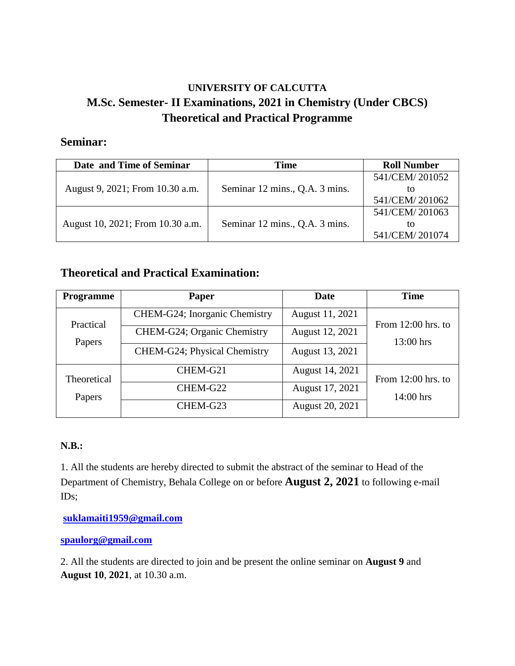## **UNIVERSITY OF CALCUTTA M.Sc. Semester- II Examinations, 2021 in Chemistry (Under CBCS) Theoretical and Practical Programme**

## **Seminar:**

| Date and Time of Seminar         | <b>Time</b>                    | <b>Roll Number</b> |
|----------------------------------|--------------------------------|--------------------|
| August 9, 2021; From 10.30 a.m.  | Seminar 12 mins., Q.A. 3 mins. | 541/CEM/201052     |
|                                  |                                | īΩ                 |
|                                  |                                | 541/CEM/201062     |
| August 10, 2021; From 10.30 a.m. | Seminar 12 mins., Q.A. 3 mins. | 541/CEM/201063     |
|                                  |                                | ĪΩ                 |
|                                  |                                | 541/CEM/201074     |

## **Theoretical and Practical Examination:**

| <b>Programme</b>      | <b>Paper</b>                  | Date            | <b>Time</b>          |  |
|-----------------------|-------------------------------|-----------------|----------------------|--|
| Practical<br>Papers   | CHEM-G24; Inorganic Chemistry | August 11, 2021 | From $12:00$ hrs. to |  |
|                       | CHEM-G24; Organic Chemistry   | August 12, 2021 | 13:00 hrs            |  |
|                       | CHEM-G24; Physical Chemistry  | August 13, 2021 |                      |  |
| Theoretical<br>Papers | CHEM-G21                      | August 14, 2021 | From $12:00$ hrs. to |  |
|                       | CHEM-G22                      | August 17, 2021 | $14:00$ hrs          |  |
|                       | CHEM-G23                      | August 20, 2021 |                      |  |

## **N.B.:**

1. All the students are hereby directed to submit the abstract of the seminar to Head of the Department of Chemistry, Behala College on or before **August 2, 2021** to following e-mail IDs;

**[suklamaiti1959@gmail.com](mailto:suklamaiti1959@gmail.com)**

**[spaulorg@gmail.com](mailto:spaulorg@gmail.com)**

2. All the students are directed to join and be present the online seminar on **August 9** and **August 10**, **2021**, at 10.30 a.m.